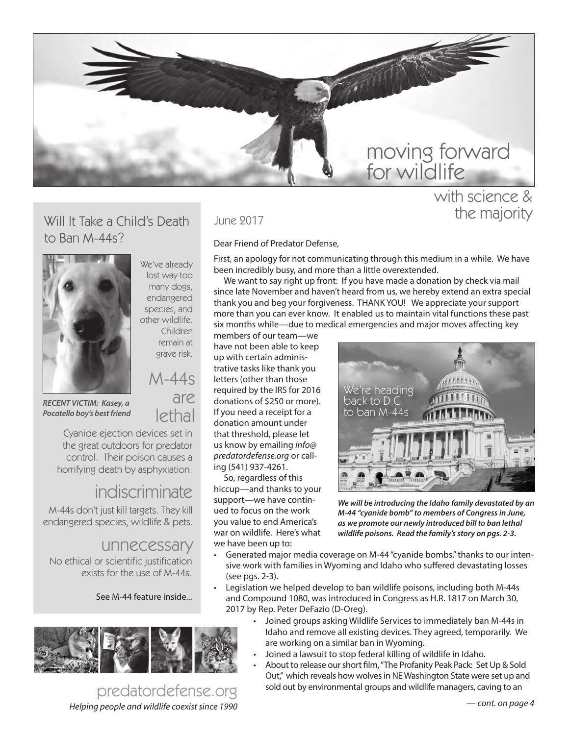

### Will It Take a Child's Death to Ban M-44s?



We've already lost way too many dogs, endangered species, and other wildlife. Children

remain at grave risk.

M-44s are

lethal

*RECENT VICTIM: Kasey, a Pocatello boy's best friend*

Cyanide ejection devices set in the great outdoors for predator control. Their poison causes a horrifying death by asphyxiation.

# indiscriminate

M-44s don't just kill targets. They kill endangered species, wildlife & pets.

## unnecessary

No ethical or scientific justification exists for the use of M-44s.

#### See M-44 feature inside...



*Helping people and wildlife coexist since 1990* predatordefense.org

#### June 2017

#### Dear Friend of Predator Defense,

First, an apology for not communicating through this medium in a while. We have been incredibly busy, and more than a little overextended.

We want to say right up front: If you have made a donation by check via mail since late November and haven't heard from us, we hereby extend an extra special thank you and beg your forgiveness. THANK YOU! We appreciate your support more than you can ever know. It enabled us to maintain vital functions these past six months while—due to medical emergencies and major moves affecting key

members of our team—we have not been able to keep up with certain administrative tasks like thank you letters (other than those required by the IRS for 2016 donations of \$250 or more). If you need a receipt for a donation amount under that threshold, please let us know by emailing *info@ predatordefense.org* or calling (541) 937-4261.

So, regardless of this hiccup—and thanks to your support—we have continued to focus on the work you value to end America's war on wildlife. Here's what we have been up to:



*We will be introducing the Idaho family devastated by an M-44 "cyanide bomb" to members of Congress in June, as we promote our newly introduced bill to ban lethal wildlife poisons. Read the family's story on pgs. 2-3.*

- Generated major media coverage on M-44 "cyanide bombs," thanks to our intensive work with families in Wyoming and Idaho who suffered devastating losses (see pgs. 2-3).
- Legislation we helped develop to ban wildlife poisons, including both M-44s and Compound 1080, was introduced in Congress as H.R. 1817 on March 30, 2017 by Rep. Peter DeFazio (D-Oreg).
	- Joined groups asking Wildlife Services to immediately ban M-44s in Idaho and remove all existing devices. They agreed, temporarily. We are working on a similar ban in Wyoming.
	- Joined a lawsuit to stop federal killing of wildlife in Idaho.
	- About to release our short film, "The Profanity Peak Pack: Set Up & Sold Out," which reveals how wolves in NE Washington State were set up and sold out by environmental groups and wildlife managers, caving to an

with science & the majority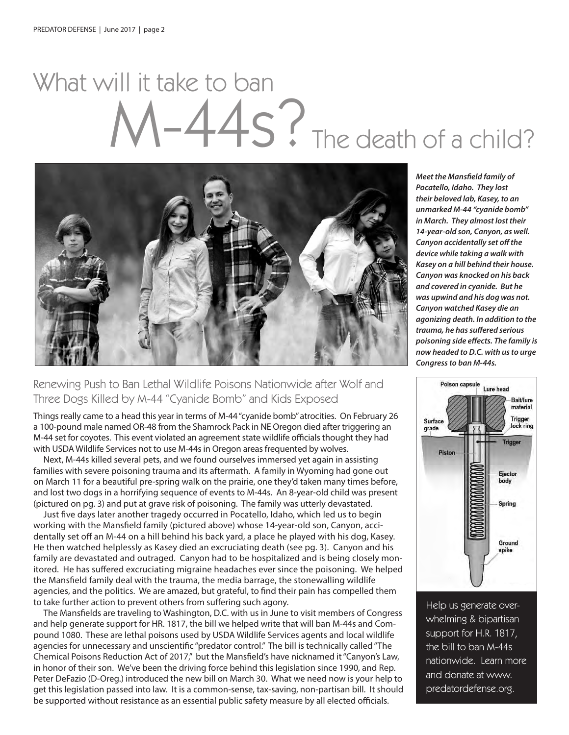# $-S$ ?The death of a child? What will it take to ban



#### Renewing Push to Ban Lethal Wildlife Poisons Nationwide after Wolf and Three Dogs Killed by M-44 "Cyanide Bomb" and Kids Exposed

Things really came to a head this year in terms of M-44 "cyanide bomb" atrocities. On February 26 a 100-pound male named OR-48 from the Shamrock Pack in NE Oregon died after triggering an M-44 set for coyotes. This event violated an agreement state wildlife officials thought they had with USDA Wildlife Services not to use M-44s in Oregon areas frequented by wolves.

Next, M-44s killed several pets, and we found ourselves immersed yet again in assisting families with severe poisoning trauma and its aftermath. A family in Wyoming had gone out on March 11 for a beautiful pre-spring walk on the prairie, one they'd taken many times before, and lost two dogs in a horrifying sequence of events to M-44s. An 8-year-old child was present (pictured on pg. 3) and put at grave risk of poisoning. The family was utterly devastated.

Just five days later another tragedy occurred in Pocatello, Idaho, which led us to begin working with the Mansfield family (pictured above) whose 14-year-old son, Canyon, accidentally set off an M-44 on a hill behind his back yard, a place he played with his dog, Kasey. He then watched helplessly as Kasey died an excruciating death (see pg. 3). Canyon and his family are devastated and outraged. Canyon had to be hospitalized and is being closely monitored. He has suffered excruciating migraine headaches ever since the poisoning. We helped the Mansfield family deal with the trauma, the media barrage, the stonewalling wildlife agencies, and the politics. We are amazed, but grateful, to find their pain has compelled them to take further action to prevent others from suffering such agony.

The Mansfields are traveling to Washington, D.C. with us in June to visit members of Congress and help generate support for HR. 1817, the bill we helped write that will ban M-44s and Compound 1080. These are lethal poisons used by USDA Wildlife Services agents and local wildlife agencies for unnecessary and unscientific "predator control." The bill is technically called "The Chemical Poisons Reduction Act of 2017," but the Mansfield's have nicknamed it "Canyon's Law, in honor of their son. We've been the driving force behind this legislation since 1990, and Rep. Peter DeFazio (D-Oreg.) introduced the new bill on March 30. What we need now is your help to get this legislation passed into law. It is a common-sense, tax-saving, non-partisan bill. It should be supported without resistance as an essential public safety measure by all elected officials.

*Meet the Mansfield family of Pocatello, Idaho. They lost their beloved lab, Kasey, to an unmarked M-44 "cyanide bomb" in March. They almost lost their 14-year-old son, Canyon, as well. Canyon accidentally set off the device while taking a walk with Kasey on a hill behind their house. Canyon was knocked on his back and covered in cyanide. But he was upwind and his dog was not. Canyon watched Kasey die an agonizing death. In addition to the trauma, he has suffered serious poisoning side effects. The family is now headed to D.C. with us to urge Congress to ban M-44s.*



Help us generate overwhelming & bipartisan support for H.R. 1817, the bill to ban M-44s nationwide. Learn more and donate at www. predatordefense.org.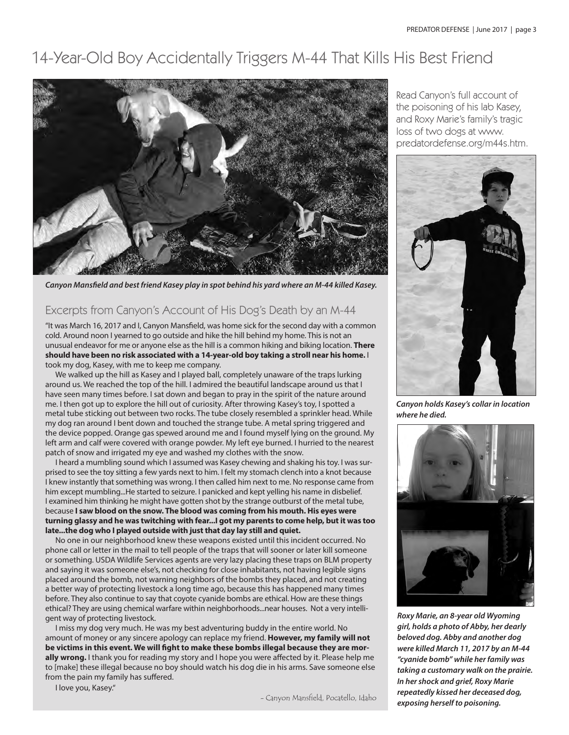# 14-Year-Old Boy Accidentally Triggers M-44 That Kills His Best Friend



*Canyon Mansfield and best friend Kasey play in spot behind his yard where an M-44 killed Kasey.* 

#### Excerpts from Canyon's Account of His Dog's Death by an M-44

"It was March 16, 2017 and I, Canyon Mansfield, was home sick for the second day with a common cold. Around noon I yearned to go outside and hike the hill behind my home. This is not an unusual endeavor for me or anyone else as the hill is a common hiking and biking location. **There should have been no risk associated with a 14-year-old boy taking a stroll near his home.** I took my dog, Kasey, with me to keep me company.

We walked up the hill as Kasey and I played ball, completely unaware of the traps lurking around us. We reached the top of the hill. I admired the beautiful landscape around us that I have seen many times before. I sat down and began to pray in the spirit of the nature around me. I then got up to explore the hill out of curiosity. After throwing Kasey's toy, I spotted a metal tube sticking out between two rocks. The tube closely resembled a sprinkler head. While my dog ran around I bent down and touched the strange tube. A metal spring triggered and the device popped. Orange gas spewed around me and I found myself lying on the ground. My left arm and calf were covered with orange powder. My left eye burned. I hurried to the nearest patch of snow and irrigated my eye and washed my clothes with the snow.

I heard a mumbling sound which I assumed was Kasey chewing and shaking his toy. I was surprised to see the toy sitting a few yards next to him. I felt my stomach clench into a knot because I knew instantly that something was wrong. I then called him next to me. No response came from him except mumbling...He started to seizure. I panicked and kept yelling his name in disbelief. I examined him thinking he might have gotten shot by the strange outburst of the metal tube, because **I saw blood on the snow. The blood was coming from his mouth. His eyes were turning glassy and he was twitching with fear...I got my parents to come help, but it was too late...the dog who I played outside with just that day lay still and quiet.** 

No one in our neighborhood knew these weapons existed until this incident occurred. No phone call or letter in the mail to tell people of the traps that will sooner or later kill someone or something. USDA Wildlife Services agents are very lazy placing these traps on BLM property and saying it was someone else's, not checking for close inhabitants, not having legible signs placed around the bomb, not warning neighbors of the bombs they placed, and not creating a better way of protecting livestock a long time ago, because this has happened many times before. They also continue to say that coyote cyanide bombs are ethical. How are these things ethical? They are using chemical warfare within neighborhoods...near houses. Not a very intelligent way of protecting livestock.

I miss my dog very much. He was my best adventuring buddy in the entire world. No amount of money or any sincere apology can replace my friend. **However, my family will not be victims in this event. We will fight to make these bombs illegal because they are morally wrong.** I thank you for reading my story and I hope you were affected by it. Please help me to [make] these illegal because no boy should watch his dog die in his arms. Save someone else from the pain my family has suffered.

I love you, Kasey."

- Canyon Mansfield, Pocatello, Idaho

Read Canyon's full account of the poisoning of his lab Kasey, and Roxy Marie's family's tragic loss of two dogs at www. predatordefense.org/m44s.htm.



*Canyon holds Kasey's collar in location where he died.*



*Roxy Marie, an 8-year old Wyoming girl, holds a photo of Abby, her dearly beloved dog. Abby and another dog were killed March 11, 2017 by an M-44 "cyanide bomb" while her family was taking a customary walk on the prairie. In her shock and grief, Roxy Marie repeatedly kissed her deceased dog, exposing herself to poisoning.*